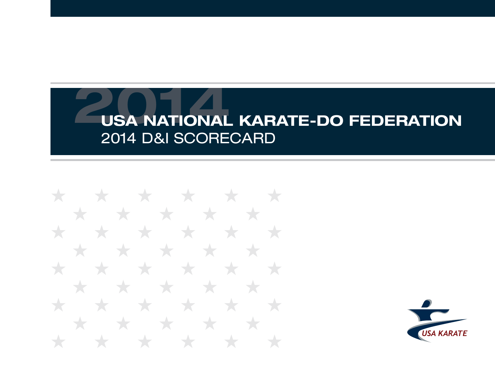\* \* \* \* \* \* \* \* \* \* \* \* \* \* \* \* \* \* \* \* **State State** \* \* \* \* \* \* \* \* ★ **Telesting** ★ \* \* \* \* \* \* \* \* \* \* \* \*  $\bigstar$ ╅

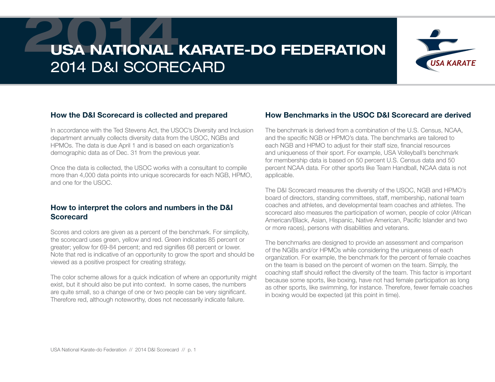

#### How the D&I Scorecard is collected and prepared

In accordance with the Ted Stevens Act, the USOC's Diversity and Inclusion department annually collects diversity data from the USOC, NGBs and HPMOs. The data is due April 1 and is based on each organization's demographic data as of Dec. 31 from the previous year.

Once the data is collected, the USOC works with a consultant to compile more than 4,000 data points into unique scorecards for each NGB, HPMO, and one for the USOC.

#### How to interpret the colors and numbers in the D&I **Scorecard**

Scores and colors are given as a percent of the benchmark. For simplicity, the scorecard uses green, yellow and red. Green indicates 85 percent or greater; yellow for 69-84 percent; and red signifies 68 percent or lower. Note that red is indicative of an opportunity to grow the sport and should be viewed as a positive prospect for creating strategy.

The color scheme allows for a quick indication of where an opportunity might exist, but it should also be put into context. In some cases, the numbers are quite small, so a change of one or two people can be very significant. Therefore red, although noteworthy, does not necessarily indicate failure.

#### How Benchmarks in the USOC D&I Scorecard are derived

The benchmark is derived from a combination of the U.S. Census, NCAA, and the specific NGB or HPMO's data. The benchmarks are tailored to each NGB and HPMO to adjust for their staff size, financial resources and uniqueness of their sport. For example, USA Volleyball's benchmark for membership data is based on 50 percent U.S. Census data and 50 percent NCAA data. For other sports like Team Handball, NCAA data is not applicable.

The D&I Scorecard measures the diversity of the USOC, NGB and HPMO's board of directors, standing committees, staff, membership, national team coaches and athletes, and developmental team coaches and athletes. The scorecard also measures the participation of women, people of color (African American/Black, Asian, Hispanic, Native American, Pacific Islander and two or more races), persons with disabilities and veterans.

The benchmarks are designed to provide an assessment and comparison of the NGBs and/or HPMOs while considering the uniqueness of each organization. For example, the benchmark for the percent of female coaches on the team is based on the percent of women on the team. Simply, the coaching staff should reflect the diversity of the team. This factor is important because some sports, like boxing, have not had female participation as long as other sports, like swimming, for instance. Therefore, fewer female coaches in boxing would be expected (at this point in time).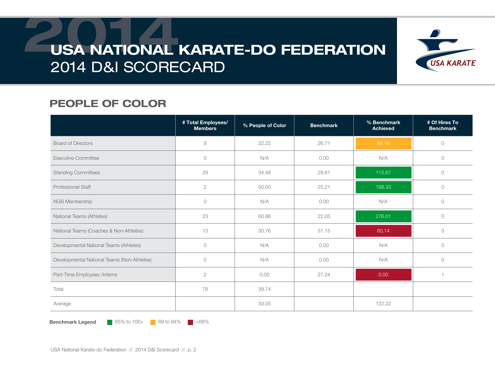

### PEOPLE OF COLOR

|                                             | # Total Employees/<br><b>Members</b> | % People of Color | <b>Benchmark</b> | % Benchmark<br><b>Achieved</b> | # Of Hires To<br><b>Benchmark</b> |
|---------------------------------------------|--------------------------------------|-------------------|------------------|--------------------------------|-----------------------------------|
| <b>Board of Directors</b>                   | $\Theta$                             | 22.22             | 26.71            | 83.19                          | $\circlearrowright$               |
| <b>Executive Committee</b>                  | $\circ$                              | N/A               | 0.00             | N/A                            | $\circ$                           |
| <b>Standing Committees</b>                  | 29                                   | 34.48             | 29.81            | 115.67                         | $\circ$                           |
| Professional Staff                          | $\sqrt{2}$                           | 50.00             | 25.21            | 198.33                         | $\circ$                           |
| NGB Membership                              | $\circ$                              | N/A               | 0.00             | N/A                            | $\circ$                           |
| National Teams (Athletes)                   | 23                                   | 60.86             | 22.05            | 276.01                         | $\circ$                           |
| National Teams (Coaches & Non-Athletes)     | 13                                   | 30.76             | 51.15            | 60.14                          | 3                                 |
| Developmental National Teams (Athletes)     | $\circlearrowright$                  | N/A               | 0.00             | N/A                            | $\circ$                           |
| Developmental National Teams (Non-Athletes) | $\circ$                              | N/A               | 0.00             | N/A                            | $\circ$                           |
| Part-Time Employees /Interns                | $\sqrt{2}$                           | 0.00              | 27.24            | 0.00                           |                                   |
| Total                                       | 78                                   | 39.74             |                  |                                |                                   |
| Average                                     |                                      | 33.05             |                  | 122.22                         |                                   |

**Benchmark Legend** 85% to 100+ 69 to 84%  $\blacksquare$  <68%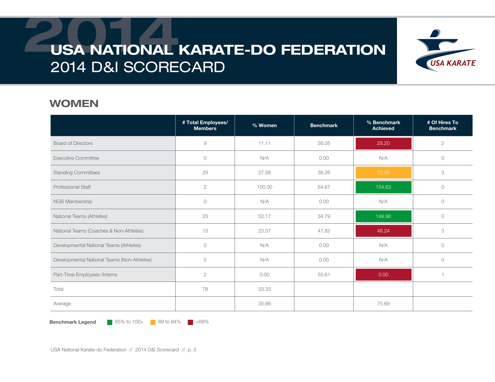

#### WOMEN

|                                             | # Total Employees/<br><b>Members</b> | % Women | <b>Benchmark</b> | % Benchmark<br><b>Achieved</b> | # Of Hires To<br><b>Benchmark</b> |
|---------------------------------------------|--------------------------------------|---------|------------------|--------------------------------|-----------------------------------|
| <b>Board of Directors</b>                   | $\emph{9}$                           | 11.11   | 38.05            | 29.20                          | $\mathbf{2}$                      |
| <b>Executive Committee</b>                  | $\circ$                              | N/A     | 0.00             | N/A                            | $\circ$                           |
| <b>Standing Committees</b>                  | 29                                   | 27.58   | 38.26            | 72.09                          | 3                                 |
| <b>Professional Staff</b>                   | $\sqrt{2}$                           | 100.00  | 64.67            | 154.63                         | $\circ$                           |
| NGB Membership                              | $\circ$                              | N/A     | 0.00             | N/A                            | $\circ$                           |
| National Teams (Athletes)                   | 23                                   | 52.17   | 34.79            | 149.96                         | $\circ$                           |
| National Teams (Coaches & Non-Athletes)     | 13                                   | 23.07   | 47.82            | 48.24                          | 3                                 |
| Developmental National Teams (Athletes)     | $\circ$                              | N/A     | 0.00             | N/A                            | $\circ$                           |
| Developmental National Teams (Non-Athletes) | $\circ$                              | N/A     | 0.00             | N/A                            | $\circ$                           |
| Part-Time Employees /Interns                | $\sqrt{2}$                           | 0.00    | 55.61            | 0.00                           |                                   |
| Total                                       | 78                                   | 33.33   |                  |                                |                                   |
| Average                                     |                                      | 35.66   |                  | 75.69                          |                                   |

**Benchmark Legend** 85% to 100+ 69 to 84%  $\blacksquare$  <68%

USA National Karate-do Federation // 2014 D&I Scorecard // p. 3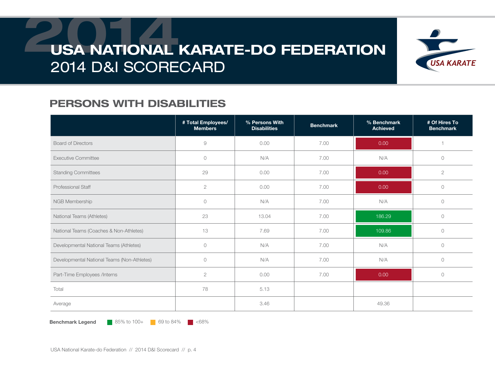

### PERSONS WITH DISABILITIES

|                                             | # Total Employees/<br><b>Members</b> | % Persons With<br><b>Disabilities</b> | <b>Benchmark</b> | % Benchmark<br><b>Achieved</b> | # Of Hires To<br><b>Benchmark</b> |
|---------------------------------------------|--------------------------------------|---------------------------------------|------------------|--------------------------------|-----------------------------------|
| <b>Board of Directors</b>                   | 9                                    | 0.00                                  | 7.00             | 0.00                           |                                   |
| <b>Executive Committee</b>                  | $\circ$                              | N/A                                   | 7.00             | N/A                            | $\circ$                           |
| <b>Standing Committees</b>                  | 29                                   | 0.00                                  | 7.00             | 0.00                           | $\mathbf{2}$                      |
| <b>Professional Staff</b>                   | $\sqrt{2}$                           | 0.00                                  | 7.00             | 0.00                           | $\circ$                           |
| NGB Membership                              | $\circ$                              | N/A                                   | 7.00             | N/A                            | $\circ$                           |
| National Teams (Athletes)                   | 23                                   | 13.04                                 | 7.00             | 186.29                         | $\circ$                           |
| National Teams (Coaches & Non-Athletes)     | 13                                   | 7.69                                  | 7.00             | 109.86                         | $\circ$                           |
| Developmental National Teams (Athletes)     | $\circlearrowright$                  | N/A                                   | 7.00             | N/A                            | $\circ$                           |
| Developmental National Teams (Non-Athletes) | $\circledcirc$                       | N/A                                   | 7.00             | N/A                            | $\circlearrowright$               |
| Part-Time Employees /Interns                | $\mathbf{2}$                         | 0.00                                  | 7.00             | 0.00                           | $\circ$                           |
| Total                                       | 78                                   | 5.13                                  |                  |                                |                                   |
| Average                                     |                                      | 3.46                                  |                  | 49.36                          |                                   |

**Benchmark Legend** 85% to 100+ 69 to 84%  $\blacksquare$  <68%